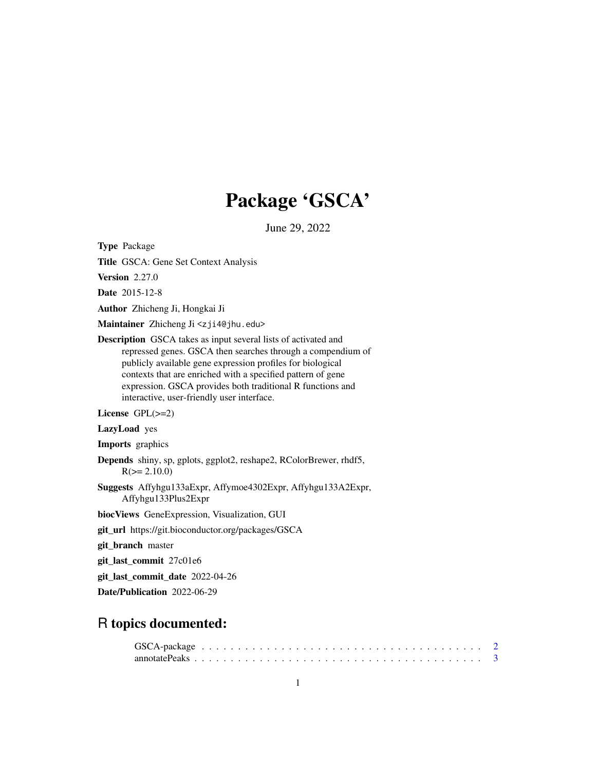# Package 'GSCA'

June 29, 2022

Type Package

Title GSCA: Gene Set Context Analysis

Version 2.27.0

Date 2015-12-8

Author Zhicheng Ji, Hongkai Ji

Maintainer Zhicheng Ji <zji4@jhu.edu>

Description GSCA takes as input several lists of activated and repressed genes. GSCA then searches through a compendium of publicly available gene expression profiles for biological contexts that are enriched with a specified pattern of gene expression. GSCA provides both traditional R functions and interactive, user-friendly user interface.

License GPL(>=2)

LazyLoad yes

Imports graphics

Depends shiny, sp, gplots, ggplot2, reshape2, RColorBrewer, rhdf5,  $R(>= 2.10.0)$ 

Suggests Affyhgu133aExpr, Affymoe4302Expr, Affyhgu133A2Expr, Affyhgu133Plus2Expr

biocViews GeneExpression, Visualization, GUI

git\_url https://git.bioconductor.org/packages/GSCA

git\_branch master

git\_last\_commit 27c01e6

git\_last\_commit\_date 2022-04-26

Date/Publication 2022-06-29

# R topics documented: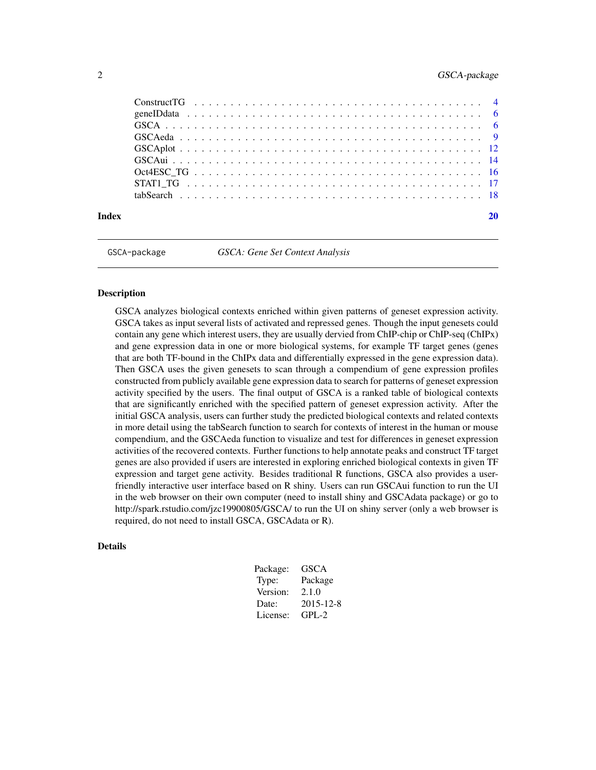# <span id="page-1-0"></span>2 GSCA-package

| Index |  |  |  |  |  |  |  |  |  |  |  |  |  |  |  |  |  |  |
|-------|--|--|--|--|--|--|--|--|--|--|--|--|--|--|--|--|--|--|

GSCA-package *GSCA: Gene Set Context Analysis*

#### **Description**

GSCA analyzes biological contexts enriched within given patterns of geneset expression activity. GSCA takes as input several lists of activated and repressed genes. Though the input genesets could contain any gene which interest users, they are usually dervied from ChIP-chip or ChIP-seq (ChIPx) and gene expression data in one or more biological systems, for example TF target genes (genes that are both TF-bound in the ChIPx data and differentially expressed in the gene expression data). Then GSCA uses the given genesets to scan through a compendium of gene expression profiles constructed from publicly available gene expression data to search for patterns of geneset expression activity specified by the users. The final output of GSCA is a ranked table of biological contexts that are significantly enriched with the specified pattern of geneset expression activity. After the initial GSCA analysis, users can further study the predicted biological contexts and related contexts in more detail using the tabSearch function to search for contexts of interest in the human or mouse compendium, and the GSCAeda function to visualize and test for differences in geneset expression activities of the recovered contexts. Further functions to help annotate peaks and construct TF target genes are also provided if users are interested in exploring enriched biological contexts in given TF expression and target gene activity. Besides traditional R functions, GSCA also provides a userfriendly interactive user interface based on R shiny. Users can run GSCAui function to run the UI in the web browser on their own computer (need to install shiny and GSCAdata package) or go to http://spark.rstudio.com/jzc19900805/GSCA/ to run the UI on shiny server (only a web browser is required, do not need to install GSCA, GSCAdata or R).

#### Details

| Package: | GSCA      |
|----------|-----------|
| Type:    | Package   |
| Version: | 2.1.0     |
| Date:    | 2015-12-8 |
| License: | GPL-2     |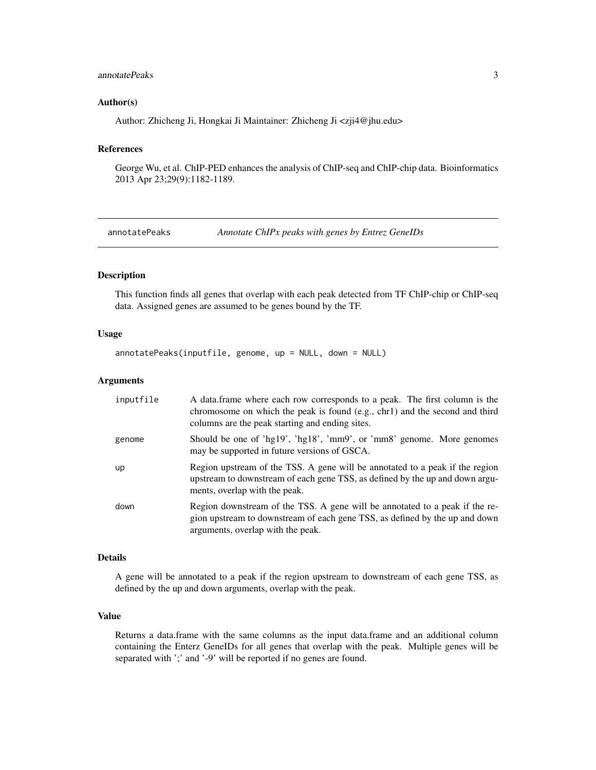# <span id="page-2-0"></span>annotatePeaks 3

#### Author(s)

Author: Zhicheng Ji, Hongkai Ji Maintainer: Zhicheng Ji <zji4@jhu.edu>

# References

George Wu, et al. ChIP-PED enhances the analysis of ChIP-seq and ChIP-chip data. Bioinformatics 2013 Apr 23;29(9):1182-1189.

annotatePeaks *Annotate ChIPx peaks with genes by Entrez GeneIDs*

# Description

This function finds all genes that overlap with each peak detected from TF ChIP-chip or ChIP-seq data. Assigned genes are assumed to be genes bound by the TF.

#### Usage

annotatePeaks(inputfile, genome, up = NULL, down = NULL)

#### Arguments

| inputfile | A data frame where each row corresponds to a peak. The first column is the<br>chromosome on which the peak is found (e.g., chr1) and the second and third<br>columns are the peak starting and ending sites. |
|-----------|--------------------------------------------------------------------------------------------------------------------------------------------------------------------------------------------------------------|
| genome    | Should be one of 'hg19', 'hg18', 'mm9', or 'mm8' genome. More genomes<br>may be supported in future versions of GSCA.                                                                                        |
| <b>up</b> | Region upstream of the TSS. A gene will be annotated to a peak if the region<br>upstream to downstream of each gene TSS, as defined by the up and down argu-<br>ments, overlap with the peak.                |
| down      | Region downstream of the TSS. A gene will be annotated to a peak if the re-<br>gion upstream to downstream of each gene TSS, as defined by the up and down<br>arguments, overlap with the peak.              |

#### Details

A gene will be annotated to a peak if the region upstream to downstream of each gene TSS, as defined by the up and down arguments, overlap with the peak.

#### Value

Returns a data.frame with the same columns as the input data.frame and an additional column containing the Enterz GeneIDs for all genes that overlap with the peak. Multiple genes will be separated with ';' and '-9' will be reported if no genes are found.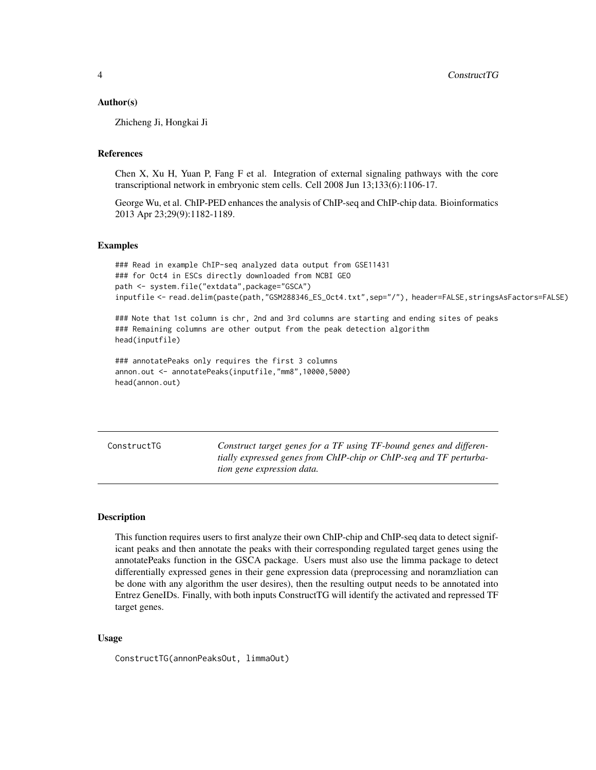#### <span id="page-3-0"></span>Author(s)

Zhicheng Ji, Hongkai Ji

#### References

Chen X, Xu H, Yuan P, Fang F et al. Integration of external signaling pathways with the core transcriptional network in embryonic stem cells. Cell 2008 Jun 13;133(6):1106-17.

George Wu, et al. ChIP-PED enhances the analysis of ChIP-seq and ChIP-chip data. Bioinformatics 2013 Apr 23;29(9):1182-1189.

#### Examples

```
### Read in example ChIP-seq analyzed data output from GSE11431
### for Oct4 in ESCs directly downloaded from NCBI GEO
path <- system.file("extdata",package="GSCA")
inputfile <- read.delim(paste(path,"GSM288346_ES_Oct4.txt",sep="/"), header=FALSE,stringsAsFactors=FALSE)
```
### Note that 1st column is chr, 2nd and 3rd columns are starting and ending sites of peaks ### Remaining columns are other output from the peak detection algorithm head(inputfile)

```
### annotatePeaks only requires the first 3 columns
annon.out <- annotatePeaks(inputfile,"mm8",10000,5000)
head(annon.out)
```
ConstructTG *Construct target genes for a TF using TF-bound genes and differentially expressed genes from ChIP-chip or ChIP-seq and TF perturbation gene expression data.*

#### Description

This function requires users to first analyze their own ChIP-chip and ChIP-seq data to detect significant peaks and then annotate the peaks with their corresponding regulated target genes using the annotatePeaks function in the GSCA package. Users must also use the limma package to detect differentially expressed genes in their gene expression data (preprocessing and noramzliation can be done with any algorithm the user desires), then the resulting output needs to be annotated into Entrez GeneIDs. Finally, with both inputs ConstructTG will identify the activated and repressed TF target genes.

#### Usage

ConstructTG(annonPeaksOut, limmaOut)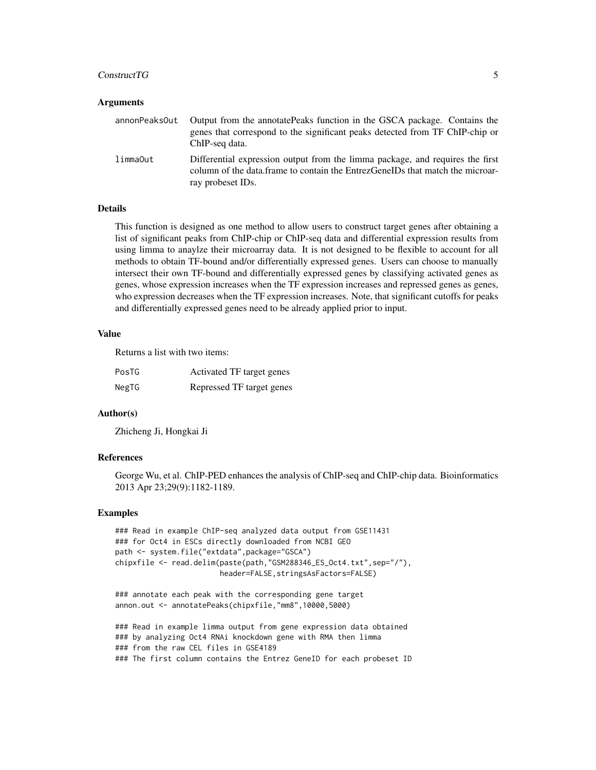#### Construct TG 5

#### Arguments

| annonPeaks0ut | Output from the annotatePeaks function in the GSCA package. Contains the<br>genes that correspond to the significant peaks detected from TF ChIP-chip or<br>ChIP-seg data.          |
|---------------|-------------------------------------------------------------------------------------------------------------------------------------------------------------------------------------|
| limmaOut      | Differential expression output from the limma package, and requires the first<br>column of the data.frame to contain the EntrezGeneIDs that match the microar-<br>ray probeset IDs. |

# Details

This function is designed as one method to allow users to construct target genes after obtaining a list of significant peaks from ChIP-chip or ChIP-seq data and differential expression results from using limma to anaylze their microarray data. It is not designed to be flexible to account for all methods to obtain TF-bound and/or differentially expressed genes. Users can choose to manually intersect their own TF-bound and differentially expressed genes by classifying activated genes as genes, whose expression increases when the TF expression increases and repressed genes as genes, who expression decreases when the TF expression increases. Note, that significant cutoffs for peaks and differentially expressed genes need to be already applied prior to input.

#### Value

Returns a list with two items:

| PosTG | Activated TF target genes |
|-------|---------------------------|
| NegTG | Repressed TF target genes |

# Author(s)

Zhicheng Ji, Hongkai Ji

# References

George Wu, et al. ChIP-PED enhances the analysis of ChIP-seq and ChIP-chip data. Bioinformatics 2013 Apr 23;29(9):1182-1189.

#### Examples

```
### Read in example ChIP-seq analyzed data output from GSE11431
### for Oct4 in ESCs directly downloaded from NCBI GEO
path <- system.file("extdata",package="GSCA")
chipxfile <- read.delim(paste(path,"GSM288346_ES_Oct4.txt",sep="/"),
                        header=FALSE,stringsAsFactors=FALSE)
```

```
### annotate each peak with the corresponding gene target
annon.out <- annotatePeaks(chipxfile,"mm8",10000,5000)
```
### Read in example limma output from gene expression data obtained ### by analyzing Oct4 RNAi knockdown gene with RMA then limma ### from the raw CEL files in GSE4189 ### The first column contains the Entrez GeneID for each probeset ID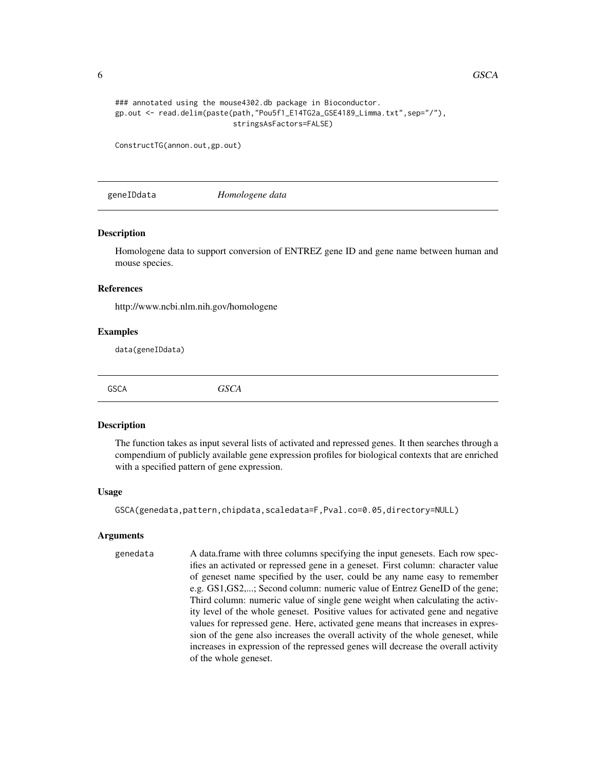```
### annotated using the mouse4302.db package in Bioconductor.
gp.out <- read.delim(paste(path,"Pou5f1_E14TG2a_GSE4189_Limma.txt",sep="/"),
                           stringsAsFactors=FALSE)
```
ConstructTG(annon.out,gp.out)

geneIDdata *Homologene data*

#### Description

Homologene data to support conversion of ENTREZ gene ID and gene name between human and mouse species.

# References

http://www.ncbi.nlm.nih.gov/homologene

#### Examples

data(geneIDdata)

GSCA *GSCA*

#### Description

The function takes as input several lists of activated and repressed genes. It then searches through a compendium of publicly available gene expression profiles for biological contexts that are enriched with a specified pattern of gene expression.

#### Usage

GSCA(genedata,pattern,chipdata,scaledata=F,Pval.co=0.05,directory=NULL)

#### Arguments

genedata A data.frame with three columns specifying the input genesets. Each row specifies an activated or repressed gene in a geneset. First column: character value of geneset name specified by the user, could be any name easy to remember e.g. GS1,GS2,...; Second column: numeric value of Entrez GeneID of the gene; Third column: numeric value of single gene weight when calculating the activity level of the whole geneset. Positive values for activated gene and negative values for repressed gene. Here, activated gene means that increases in expression of the gene also increases the overall activity of the whole geneset, while increases in expression of the repressed genes will decrease the overall activity of the whole geneset.

<span id="page-5-0"></span>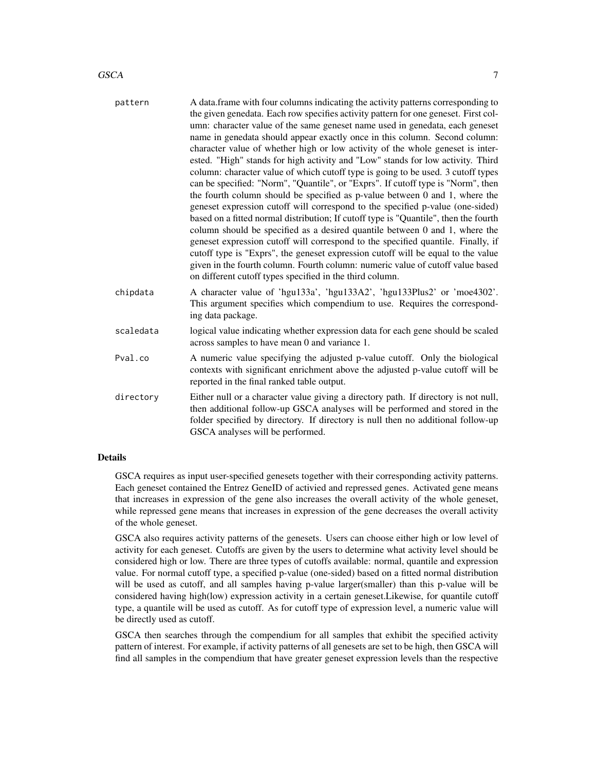| pattern   | A data frame with four columns indicating the activity patterns corresponding to<br>the given genedata. Each row specifies activity pattern for one geneset. First col-<br>umn: character value of the same geneset name used in genedata, each geneset<br>name in genedata should appear exactly once in this column. Second column:<br>character value of whether high or low activity of the whole geneset is inter-<br>ested. "High" stands for high activity and "Low" stands for low activity. Third<br>column: character value of which cutoff type is going to be used. 3 cutoff types<br>can be specified: "Norm", "Quantile", or "Exprs". If cutoff type is "Norm", then<br>the fourth column should be specified as p-value between 0 and 1, where the<br>geneset expression cutoff will correspond to the specified p-value (one-sided)<br>based on a fitted normal distribution; If cutoff type is "Quantile", then the fourth<br>column should be specified as a desired quantile between 0 and 1, where the<br>geneset expression cutoff will correspond to the specified quantile. Finally, if<br>cutoff type is "Exprs", the geneset expression cutoff will be equal to the value<br>given in the fourth column. Fourth column: numeric value of cutoff value based<br>on different cutoff types specified in the third column. |
|-----------|--------------------------------------------------------------------------------------------------------------------------------------------------------------------------------------------------------------------------------------------------------------------------------------------------------------------------------------------------------------------------------------------------------------------------------------------------------------------------------------------------------------------------------------------------------------------------------------------------------------------------------------------------------------------------------------------------------------------------------------------------------------------------------------------------------------------------------------------------------------------------------------------------------------------------------------------------------------------------------------------------------------------------------------------------------------------------------------------------------------------------------------------------------------------------------------------------------------------------------------------------------------------------------------------------------------------------------------------------|
| chipdata  | A character value of 'hgu133a', 'hgu133A2', 'hgu133Plus2' or 'moe4302'.<br>This argument specifies which compendium to use. Requires the correspond-<br>ing data package.                                                                                                                                                                                                                                                                                                                                                                                                                                                                                                                                                                                                                                                                                                                                                                                                                                                                                                                                                                                                                                                                                                                                                                        |
| scaledata | logical value indicating whether expression data for each gene should be scaled<br>across samples to have mean 0 and variance 1.                                                                                                                                                                                                                                                                                                                                                                                                                                                                                                                                                                                                                                                                                                                                                                                                                                                                                                                                                                                                                                                                                                                                                                                                                 |
| Pval.co   | A numeric value specifying the adjusted p-value cutoff. Only the biological<br>contexts with significant enrichment above the adjusted p-value cutoff will be<br>reported in the final ranked table output.                                                                                                                                                                                                                                                                                                                                                                                                                                                                                                                                                                                                                                                                                                                                                                                                                                                                                                                                                                                                                                                                                                                                      |
| directory | Either null or a character value giving a directory path. If directory is not null,<br>then additional follow-up GSCA analyses will be performed and stored in the<br>folder specified by directory. If directory is null then no additional follow-up<br>GSCA analyses will be performed.                                                                                                                                                                                                                                                                                                                                                                                                                                                                                                                                                                                                                                                                                                                                                                                                                                                                                                                                                                                                                                                       |

# **Details**

GSCA requires as input user-specified genesets together with their corresponding activity patterns. Each geneset contained the Entrez GeneID of activied and repressed genes. Activated gene means that increases in expression of the gene also increases the overall activity of the whole geneset, while repressed gene means that increases in expression of the gene decreases the overall activity of the whole geneset.

GSCA also requires activity patterns of the genesets. Users can choose either high or low level of activity for each geneset. Cutoffs are given by the users to determine what activity level should be considered high or low. There are three types of cutoffs available: normal, quantile and expression value. For normal cutoff type, a specified p-value (one-sided) based on a fitted normal distribution will be used as cutoff, and all samples having p-value larger(smaller) than this p-value will be considered having high(low) expression activity in a certain geneset.Likewise, for quantile cutoff type, a quantile will be used as cutoff. As for cutoff type of expression level, a numeric value will be directly used as cutoff.

GSCA then searches through the compendium for all samples that exhibit the specified activity pattern of interest. For example, if activity patterns of all genesets are set to be high, then GSCA will find all samples in the compendium that have greater geneset expression levels than the respective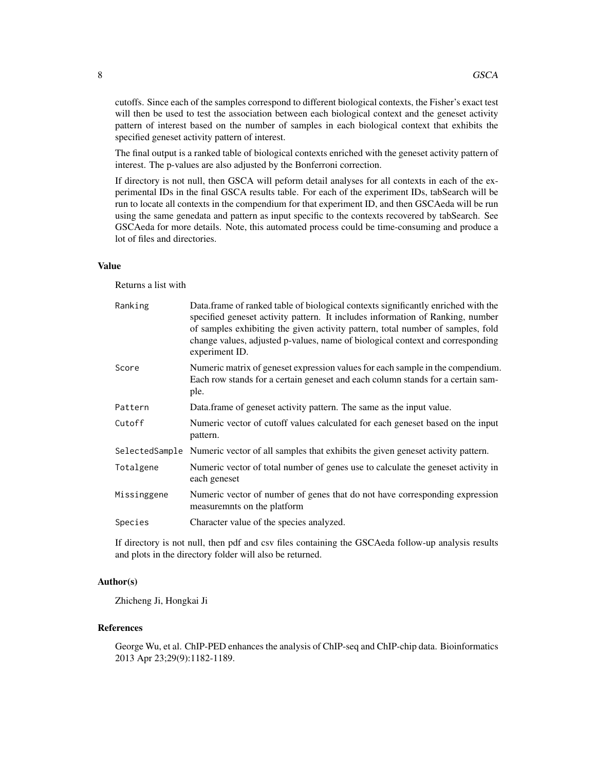cutoffs. Since each of the samples correspond to different biological contexts, the Fisher's exact test will then be used to test the association between each biological context and the geneset activity pattern of interest based on the number of samples in each biological context that exhibits the specified geneset activity pattern of interest.

The final output is a ranked table of biological contexts enriched with the geneset activity pattern of interest. The p-values are also adjusted by the Bonferroni correction.

If directory is not null, then GSCA will peform detail analyses for all contexts in each of the experimental IDs in the final GSCA results table. For each of the experiment IDs, tabSearch will be run to locate all contexts in the compendium for that experiment ID, and then GSCAeda will be run using the same genedata and pattern as input specific to the contexts recovered by tabSearch. See GSCAeda for more details. Note, this automated process could be time-consuming and produce a lot of files and directories.

#### Value

Returns a list with

| Ranking     | Data frame of ranked table of biological contexts significantly enriched with the<br>specified geneset activity pattern. It includes information of Ranking, number<br>of samples exhibiting the given activity pattern, total number of samples, fold<br>change values, adjusted p-values, name of biological context and corresponding<br>experiment ID. |
|-------------|------------------------------------------------------------------------------------------------------------------------------------------------------------------------------------------------------------------------------------------------------------------------------------------------------------------------------------------------------------|
| Score       | Numeric matrix of geneset expression values for each sample in the compendium.<br>Each row stands for a certain geneset and each column stands for a certain sam-<br>ple.                                                                                                                                                                                  |
| Pattern     | Data. frame of geneset activity pattern. The same as the input value.                                                                                                                                                                                                                                                                                      |
| Cutoff      | Numeric vector of cutoff values calculated for each geneset based on the input<br>pattern.                                                                                                                                                                                                                                                                 |
|             | SelectedSample Numeric vector of all samples that exhibits the given geneset activity pattern.                                                                                                                                                                                                                                                             |
| Totalgene   | Numeric vector of total number of genes use to calculate the geneset activity in<br>each geneset                                                                                                                                                                                                                                                           |
| Missinggene | Numeric vector of number of genes that do not have corresponding expression<br>measuremnts on the platform                                                                                                                                                                                                                                                 |
| Species     | Character value of the species analyzed.                                                                                                                                                                                                                                                                                                                   |

If directory is not null, then pdf and csv files containing the GSCAeda follow-up analysis results and plots in the directory folder will also be returned.

# Author(s)

Zhicheng Ji, Hongkai Ji

#### References

George Wu, et al. ChIP-PED enhances the analysis of ChIP-seq and ChIP-chip data. Bioinformatics 2013 Apr 23;29(9):1182-1189.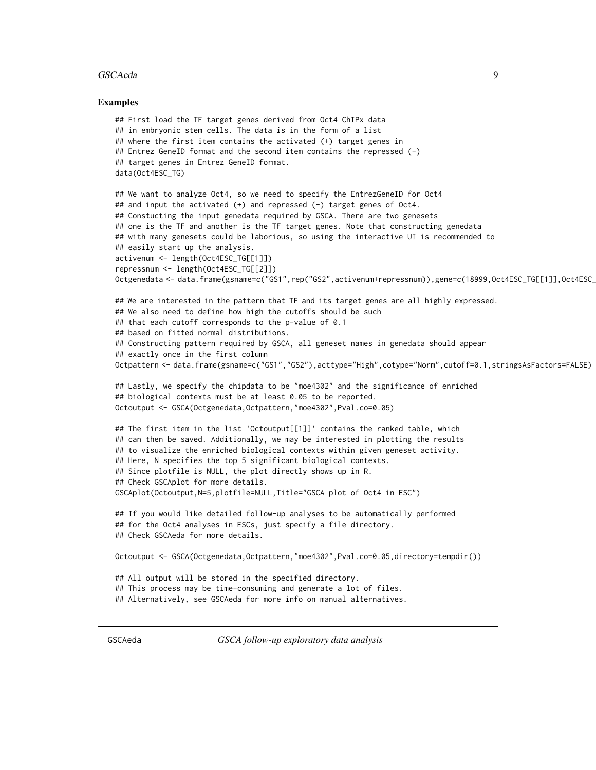#### <span id="page-8-0"></span>GSCAeda 9

#### Examples

```
## First load the TF target genes derived from Oct4 ChIPx data
## in embryonic stem cells. The data is in the form of a list
## where the first item contains the activated (+) target genes in
## Entrez GeneID format and the second item contains the repressed (-)
## target genes in Entrez GeneID format.
data(Oct4ESC_TG)
## We want to analyze Oct4, so we need to specify the EntrezGeneID for Oct4
## and input the activated (+) and repressed (-) target genes of Oct4.
## Constucting the input genedata required by GSCA. There are two genesets
## one is the TF and another is the TF target genes. Note that constructing genedata
## with many genesets could be laborious, so using the interactive UI is recommended to
## easily start up the analysis.
activenum <- length(Oct4ESC_TG[[1]])
repressnum <- length(Oct4ESC_TG[[2]])
Octgenedata <- data.frame(gsname=c("GS1",rep("GS2",activenum+repressnum)),gene=c(18999,Oct4ESC_TG[[1]],Oct4ESC_
## We are interested in the pattern that TF and its target genes are all highly expressed.
## We also need to define how high the cutoffs should be such
## that each cutoff corresponds to the p-value of 0.1
## based on fitted normal distributions.
## Constructing pattern required by GSCA, all geneset names in genedata should appear
## exactly once in the first column
Octpattern <- data.frame(gsname=c("GS1","GS2"),acttype="High",cotype="Norm",cutoff=0.1,stringsAsFactors=FALSE)
## Lastly, we specify the chipdata to be "moe4302" and the significance of enriched
## biological contexts must be at least 0.05 to be reported.
Octoutput <- GSCA(Octgenedata,Octpattern,"moe4302",Pval.co=0.05)
## The first item in the list 'Octoutput[[1]]' contains the ranked table, which
## can then be saved. Additionally, we may be interested in plotting the results
## to visualize the enriched biological contexts within given geneset activity.
## Here, N specifies the top 5 significant biological contexts.
## Since plotfile is NULL, the plot directly shows up in R.
## Check GSCAplot for more details.
GSCAplot(Octoutput,N=5,plotfile=NULL,Title="GSCA plot of Oct4 in ESC")
## If you would like detailed follow-up analyses to be automatically performed
## for the Oct4 analyses in ESCs, just specify a file directory.
## Check GSCAeda for more details.
Octoutput <- GSCA(Octgenedata,Octpattern,"moe4302",Pval.co=0.05,directory=tempdir())
## All output will be stored in the specified directory.
## This process may be time-consuming and generate a lot of files.
## Alternatively, see GSCAeda for more info on manual alternatives.
```
GSCAeda *GSCA follow-up exploratory data analysis*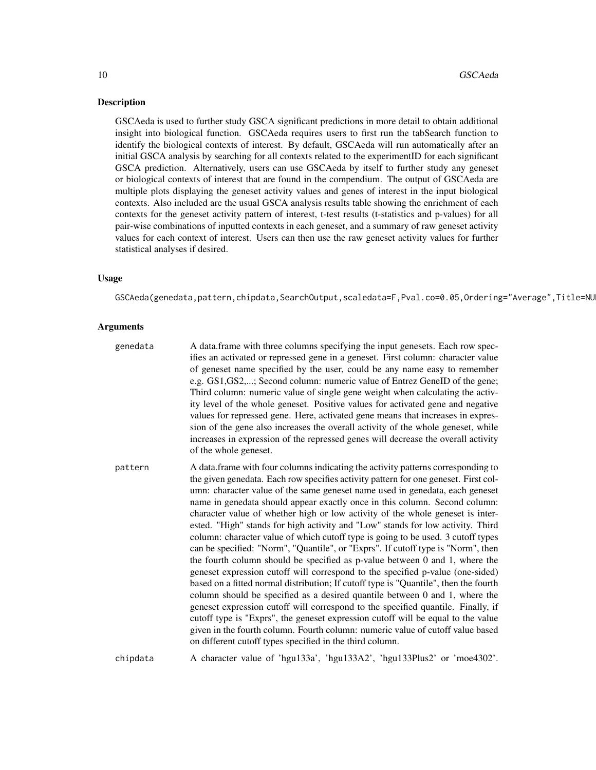#### **Description**

GSCAeda is used to further study GSCA significant predictions in more detail to obtain additional insight into biological function. GSCAeda requires users to first run the tabSearch function to identify the biological contexts of interest. By default, GSCAeda will run automatically after an initial GSCA analysis by searching for all contexts related to the experimentID for each significant GSCA prediction. Alternatively, users can use GSCAeda by itself to further study any geneset or biological contexts of interest that are found in the compendium. The output of GSCAeda are multiple plots displaying the geneset activity values and genes of interest in the input biological contexts. Also included are the usual GSCA analysis results table showing the enrichment of each contexts for the geneset activity pattern of interest, t-test results (t-statistics and p-values) for all pair-wise combinations of inputted contexts in each geneset, and a summary of raw geneset activity values for each context of interest. Users can then use the raw geneset activity values for further statistical analyses if desired.

# Usage

GSCAeda(genedata,pattern,chipdata,SearchOutput,scaledata=F,Pval.co=0.05,Ordering="Average",Title=NU

#### **Arguments**

| genedata | A data.frame with three columns specifying the input genesets. Each row spec-<br>ifies an activated or repressed gene in a geneset. First column: character value<br>of geneset name specified by the user, could be any name easy to remember<br>e.g. GS1, GS2,; Second column: numeric value of Entrez GeneID of the gene;<br>Third column: numeric value of single gene weight when calculating the activ-<br>ity level of the whole geneset. Positive values for activated gene and negative<br>values for repressed gene. Here, activated gene means that increases in expres-<br>sion of the gene also increases the overall activity of the whole geneset, while<br>increases in expression of the repressed genes will decrease the overall activity<br>of the whole geneset.                                                                                                                                                                                                                                                                                                                                                                                                                                                                                                                                                            |
|----------|--------------------------------------------------------------------------------------------------------------------------------------------------------------------------------------------------------------------------------------------------------------------------------------------------------------------------------------------------------------------------------------------------------------------------------------------------------------------------------------------------------------------------------------------------------------------------------------------------------------------------------------------------------------------------------------------------------------------------------------------------------------------------------------------------------------------------------------------------------------------------------------------------------------------------------------------------------------------------------------------------------------------------------------------------------------------------------------------------------------------------------------------------------------------------------------------------------------------------------------------------------------------------------------------------------------------------------------------------|
| pattern  | A data frame with four columns indicating the activity patterns corresponding to<br>the given genedata. Each row specifies activity pattern for one geneset. First col-<br>umn: character value of the same geneset name used in genedata, each geneset<br>name in genedata should appear exactly once in this column. Second column:<br>character value of whether high or low activity of the whole geneset is inter-<br>ested. "High" stands for high activity and "Low" stands for low activity. Third<br>column: character value of which cutoff type is going to be used. 3 cutoff types<br>can be specified: "Norm", "Quantile", or "Exprs". If cutoff type is "Norm", then<br>the fourth column should be specified as p-value between 0 and 1, where the<br>geneset expression cutoff will correspond to the specified p-value (one-sided)<br>based on a fitted normal distribution; If cutoff type is "Quantile", then the fourth<br>column should be specified as a desired quantile between 0 and 1, where the<br>geneset expression cutoff will correspond to the specified quantile. Finally, if<br>cutoff type is "Exprs", the geneset expression cutoff will be equal to the value<br>given in the fourth column. Fourth column: numeric value of cutoff value based<br>on different cutoff types specified in the third column. |
|          | $\lambda$ 1. $\lambda$ 1. 1. 1. $\lambda$ 1. 100. 100. 11. 100. $\lambda$ 0. 11. 100. 10. $\lambda$                                                                                                                                                                                                                                                                                                                                                                                                                                                                                                                                                                                                                                                                                                                                                                                                                                                                                                                                                                                                                                                                                                                                                                                                                                              |

chipdata A character value of 'hgu133a', 'hgu133A2', 'hgu133Plus2' or 'moe4302'.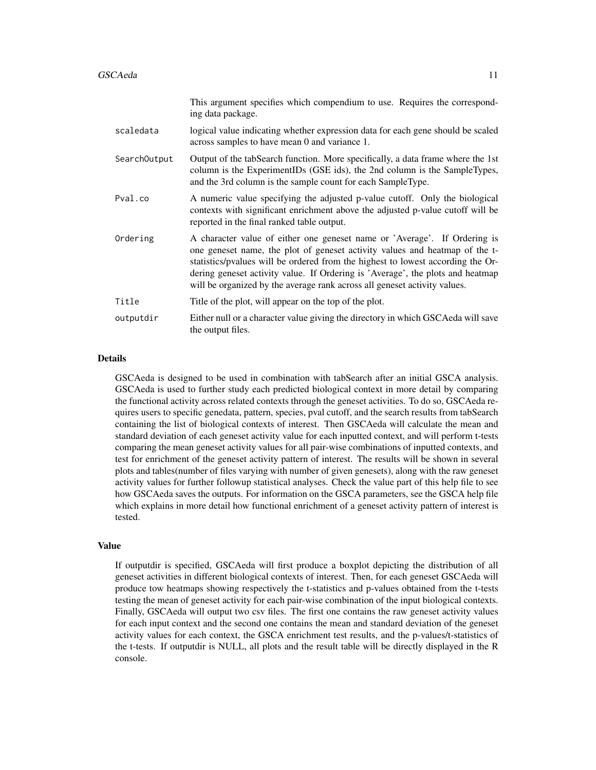|              | This argument specifies which compendium to use. Requires the correspond-<br>ing data package.                                                                                                                                                                                                                                                                                                             |
|--------------|------------------------------------------------------------------------------------------------------------------------------------------------------------------------------------------------------------------------------------------------------------------------------------------------------------------------------------------------------------------------------------------------------------|
| scaledata    | logical value indicating whether expression data for each gene should be scaled<br>across samples to have mean 0 and variance 1.                                                                                                                                                                                                                                                                           |
| SearchOutput | Output of the tabSearch function. More specifically, a data frame where the 1st<br>column is the ExperimentIDs (GSE ids), the 2nd column is the SampleTypes,<br>and the 3rd column is the sample count for each SampleType.                                                                                                                                                                                |
| Pval.co      | A numeric value specifying the adjusted p-value cutoff. Only the biological<br>contexts with significant enrichment above the adjusted p-value cutoff will be<br>reported in the final ranked table output.                                                                                                                                                                                                |
| Ordering     | A character value of either one geneset name or 'Average'. If Ordering is<br>one geneset name, the plot of geneset activity values and heatmap of the t-<br>statistics/pvalues will be ordered from the highest to lowest according the Or-<br>dering geneset activity value. If Ordering is 'Average', the plots and heatmap<br>will be organized by the average rank across all geneset activity values. |
| Title        | Title of the plot, will appear on the top of the plot.                                                                                                                                                                                                                                                                                                                                                     |
| outputdir    | Either null or a character value giving the directory in which GSCAeda will save<br>the output files.                                                                                                                                                                                                                                                                                                      |

### Details

GSCAeda is designed to be used in combination with tabSearch after an initial GSCA analysis. GSCAeda is used to further study each predicted biological context in more detail by comparing the functional activity across related contexts through the geneset activities. To do so, GSCAeda requires users to specific genedata, pattern, species, pval cutoff, and the search results from tabSearch containing the list of biological contexts of interest. Then GSCAeda will calculate the mean and standard deviation of each geneset activity value for each inputted context, and will perform t-tests comparing the mean geneset activity values for all pair-wise combinations of inputted contexts, and test for enrichment of the geneset activity pattern of interest. The results will be shown in several plots and tables(number of files varying with number of given genesets), along with the raw geneset activity values for further followup statistical analyses. Check the value part of this help file to see how GSCAeda saves the outputs. For information on the GSCA parameters, see the GSCA help file which explains in more detail how functional enrichment of a geneset activity pattern of interest is tested.

#### Value

If outputdir is specified, GSCAeda will first produce a boxplot depicting the distribution of all geneset activities in different biological contexts of interest. Then, for each geneset GSCAeda will produce tow heatmaps showing respectively the t-statistics and p-values obtained from the t-tests testing the mean of geneset activity for each pair-wise combination of the input biological contexts. Finally, GSCAeda will output two csv files. The first one contains the raw geneset activity values for each input context and the second one contains the mean and standard deviation of the geneset activity values for each context, the GSCA enrichment test results, and the p-values/t-statistics of the t-tests. If outputdir is NULL, all plots and the result table will be directly displayed in the R console.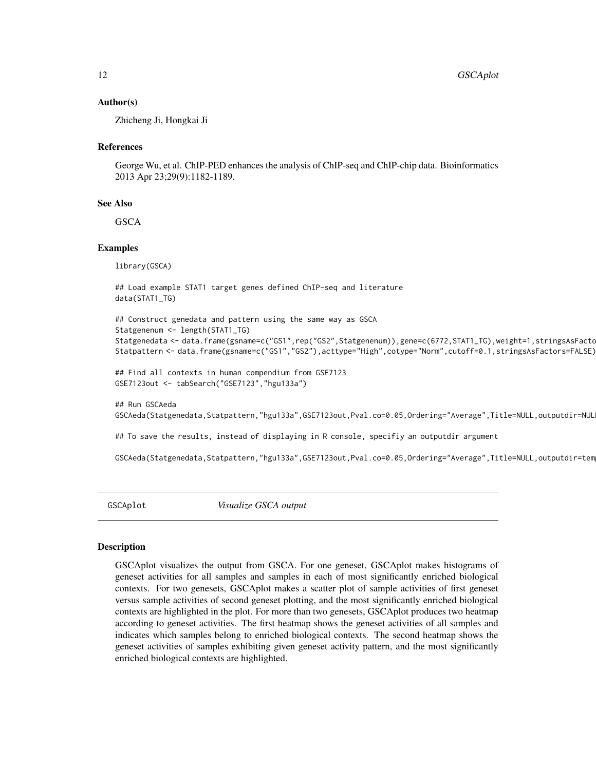#### <span id="page-11-0"></span>Author(s)

Zhicheng Ji, Hongkai Ji

#### References

George Wu, et al. ChIP-PED enhances the analysis of ChIP-seq and ChIP-chip data. Bioinformatics 2013 Apr 23;29(9):1182-1189.

#### See Also

**GSCA** 

#### Examples

library(GSCA)

## Run GSCAeda

```
## Load example STAT1 target genes defined ChIP-seq and literature
data(STAT1_TG)
```

```
## Construct genedata and pattern using the same way as GSCA
Statgenenum <- length(STAT1_TG)
Statgenedata <- data.frame(gsname=c("GS1",rep("GS2",Statgenenum)),gene=c(6772,STAT1_TG),weight=1,stringsAsFacto
Statpattern <- data.frame(gsname=c("GS1","GS2"),acttype="High",cotype="Norm",cutoff=0.1,stringsAsFactors=FALSE)
```

```
## Find all contexts in human compendium from GSE7123
GSE7123out <- tabSearch("GSE7123","hgu133a")
```
GSCAeda(Statgenedata,Statpattern,"hgu133a",GSE7123out,Pval.co=0.05,Ordering="Average",Title=NULL,outputdir=NULL)

## To save the results, instead of displaying in R console, specifiy an outputdir argument

GSCAeda(Statgenedata,Statpattern,"hgu133a",GSE7123out,Pval.co=0.05,Ordering="Average",Title=NULL,outputdir=tem

GSCAplot *Visualize GSCA output*

#### **Description**

GSCAplot visualizes the output from GSCA. For one geneset, GSCAplot makes histograms of geneset activities for all samples and samples in each of most significantly enriched biological contexts. For two genesets, GSCAplot makes a scatter plot of sample activities of first geneset versus sample activities of second geneset plotting, and the most significantly enriched biological contexts are highlighted in the plot. For more than two genesets, GSCAplot produces two heatmap according to geneset activities. The first heatmap shows the geneset activities of all samples and indicates which samples belong to enriched biological contexts. The second heatmap shows the geneset activities of samples exhibiting given geneset activity pattern, and the most significantly enriched biological contexts are highlighted.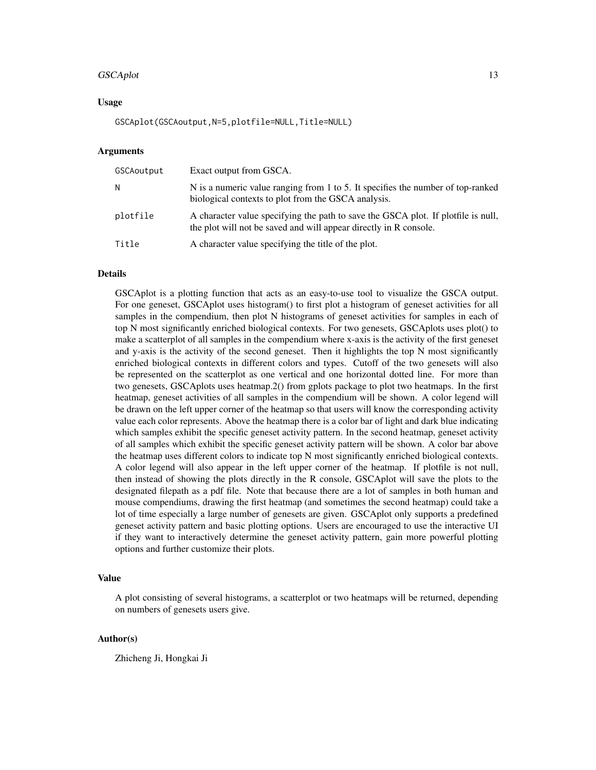#### GSCAplot 13

#### Usage

GSCAplot(GSCAoutput,N=5,plotfile=NULL,Title=NULL)

#### Arguments

| GSCAoutput | Exact output from GSCA.                                                                                                                                |
|------------|--------------------------------------------------------------------------------------------------------------------------------------------------------|
| N          | N is a numeric value ranging from 1 to 5. It specifies the number of top-ranked<br>biological contexts to plot from the GSCA analysis.                 |
| plotfile   | A character value specifying the path to save the GSCA plot. If plotfile is null,<br>the plot will not be saved and will appear directly in R console. |
| Title      | A character value specifying the title of the plot.                                                                                                    |

#### Details

GSCAplot is a plotting function that acts as an easy-to-use tool to visualize the GSCA output. For one geneset, GSCAplot uses histogram() to first plot a histogram of geneset activities for all samples in the compendium, then plot N histograms of geneset activities for samples in each of top N most significantly enriched biological contexts. For two genesets, GSCAplots uses plot() to make a scatterplot of all samples in the compendium where x-axis is the activity of the first geneset and y-axis is the activity of the second geneset. Then it highlights the top N most significantly enriched biological contexts in different colors and types. Cutoff of the two genesets will also be represented on the scatterplot as one vertical and one horizontal dotted line. For more than two genesets, GSCAplots uses heatmap.2() from gplots package to plot two heatmaps. In the first heatmap, geneset activities of all samples in the compendium will be shown. A color legend will be drawn on the left upper corner of the heatmap so that users will know the corresponding activity value each color represents. Above the heatmap there is a color bar of light and dark blue indicating which samples exhibit the specific geneset activity pattern. In the second heatmap, geneset activity of all samples which exhibit the specific geneset activity pattern will be shown. A color bar above the heatmap uses different colors to indicate top N most significantly enriched biological contexts. A color legend will also appear in the left upper corner of the heatmap. If plotfile is not null, then instead of showing the plots directly in the R console, GSCAplot will save the plots to the designated filepath as a pdf file. Note that because there are a lot of samples in both human and mouse compendiums, drawing the first heatmap (and sometimes the second heatmap) could take a lot of time especially a large number of genesets are given. GSCAplot only supports a predefined geneset activity pattern and basic plotting options. Users are encouraged to use the interactive UI if they want to interactively determine the geneset activity pattern, gain more powerful plotting options and further customize their plots.

# Value

A plot consisting of several histograms, a scatterplot or two heatmaps will be returned, depending on numbers of genesets users give.

#### Author(s)

Zhicheng Ji, Hongkai Ji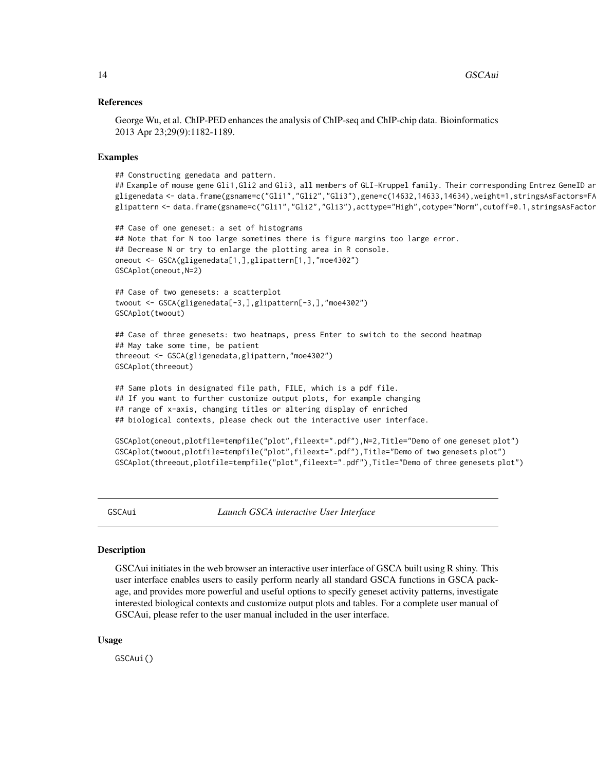#### <span id="page-13-0"></span>References

George Wu, et al. ChIP-PED enhances the analysis of ChIP-seq and ChIP-chip data. Bioinformatics 2013 Apr 23;29(9):1182-1189.

#### Examples

```
## Constructing genedata and pattern.
## Example of mouse gene Gli1,Gli2 and Gli3, all members of GLI-Kruppel family. Their corresponding Entrez GeneID ar
gligenedata <- data.frame(gsname=c("Gli1","Gli2","Gli3"),gene=c(14632,14633,14634),weight=1,stringsAsFactors=FA
glipattern <- data.frame(gsname=c("Gli1","Gli2","Gli3"),acttype="High",cotype="Norm",cutoff=0.1,stringsAsFactor
```

```
## Case of one geneset: a set of histograms
## Note that for N too large sometimes there is figure margins too large error.
## Decrease N or try to enlarge the plotting area in R console.
oneout <- GSCA(gligenedata[1,],glipattern[1,],"moe4302")
GSCAplot(oneout,N=2)
```

```
## Case of two genesets: a scatterplot
twoout <- GSCA(gligenedata[-3,],glipattern[-3,],"moe4302")
GSCAplot(twoout)
```

```
## Case of three genesets: two heatmaps, press Enter to switch to the second heatmap
## May take some time, be patient
threeout <- GSCA(gligenedata,glipattern,"moe4302")
GSCAplot(threeout)
```

```
## Same plots in designated file path, FILE, which is a pdf file.
## If you want to further customize output plots, for example changing
## range of x-axis, changing titles or altering display of enriched
## biological contexts, please check out the interactive user interface.
```

```
GSCAplot(oneout,plotfile=tempfile("plot",fileext=".pdf"),N=2,Title="Demo of one geneset plot")
GSCAplot(twoout,plotfile=tempfile("plot",fileext=".pdf"),Title="Demo of two genesets plot")
GSCAplot(threeout,plotfile=tempfile("plot",fileext=".pdf"),Title="Demo of three genesets plot")
```
GSCAui *Launch GSCA interactive User Interface*

#### Description

GSCAui initiates in the web browser an interactive user interface of GSCA built using R shiny. This user interface enables users to easily perform nearly all standard GSCA functions in GSCA package, and provides more powerful and useful options to specify geneset activity patterns, investigate interested biological contexts and customize output plots and tables. For a complete user manual of GSCAui, please refer to the user manual included in the user interface.

#### Usage

GSCAui()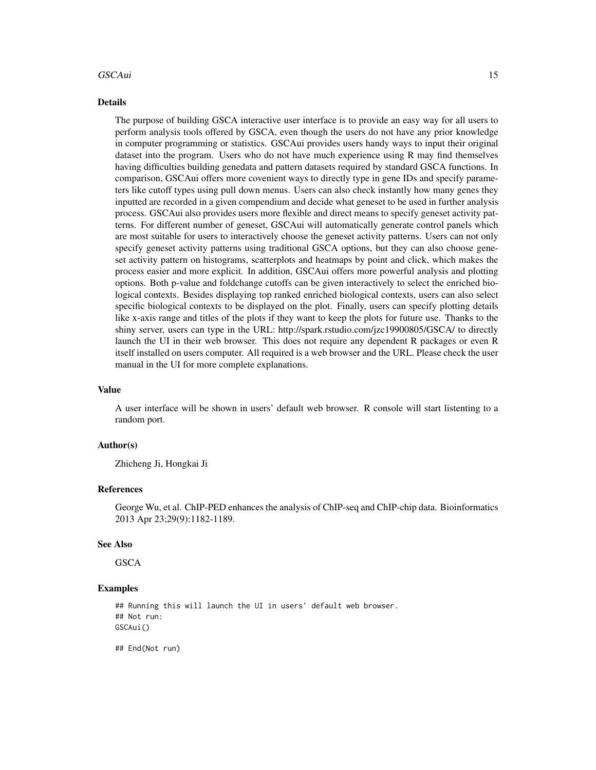#### GSCAui 15

#### Details

The purpose of building GSCA interactive user interface is to provide an easy way for all users to perform analysis tools offered by GSCA, even though the users do not have any prior knowledge in computer programming or statistics. GSCAui provides users handy ways to input their original dataset into the program. Users who do not have much experience using R may find themselves having difficulties building genedata and pattern datasets required by standard GSCA functions. In comparison, GSCAui offers more covenient ways to directly type in gene IDs and specify parameters like cutoff types using pull down menus. Users can also check instantly how many genes they inputted are recorded in a given compendium and decide what geneset to be used in further analysis process. GSCAui also provides users more flexible and direct means to specify geneset activity patterns. For different number of geneset, GSCAui will automatically generate control panels which are most suitable for users to interactively choose the geneset activity patterns. Users can not only specify geneset activity patterns using traditional GSCA options, but they can also choose geneset activity pattern on histograms, scatterplots and heatmaps by point and click, which makes the process easier and more explicit. In addition, GSCAui offers more powerful analysis and plotting options. Both p-value and foldchange cutoffs can be given interactively to select the enriched biological contexts. Besides displaying top ranked enriched biological contexts, users can also select specific biological contexts to be displayed on the plot. Finally, users can specify plotting details like x-axis range and titles of the plots if they want to keep the plots for future use. Thanks to the shiny server, users can type in the URL: http://spark.rstudio.com/jzc19900805/GSCA/ to directly launch the UI in their web browser. This does not require any dependent R packages or even R itself installed on users computer. All required is a web browser and the URL. Please check the user manual in the UI for more complete explanations.

#### Value

A user interface will be shown in users' default web browser. R console will start listenting to a random port.

#### Author(s)

Zhicheng Ji, Hongkai Ji

#### References

George Wu, et al. ChIP-PED enhances the analysis of ChIP-seq and ChIP-chip data. Bioinformatics 2013 Apr 23;29(9):1182-1189.

#### See Also

**GSCA** 

# Examples

## Running this will launch the UI in users' default web browser. ## Not run: GSCAui()

## End(Not run)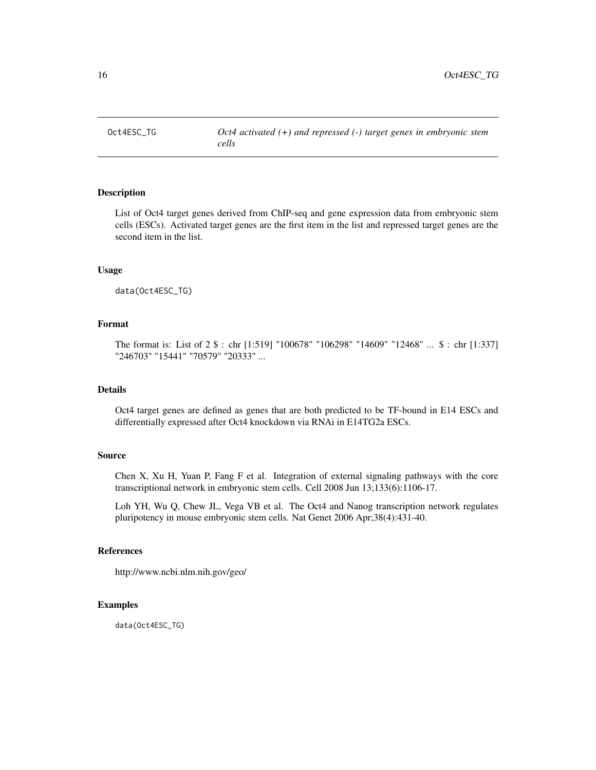<span id="page-15-0"></span>

# Description

List of Oct4 target genes derived from ChIP-seq and gene expression data from embryonic stem cells (ESCs). Activated target genes are the first item in the list and repressed target genes are the second item in the list.

# Usage

data(Oct4ESC\_TG)

# Format

The format is: List of 2 \$ : chr [1:519] "100678" "106298" "14609" "12468" ... \$ : chr [1:337] "246703" "15441" "70579" "20333" ...

# Details

Oct4 target genes are defined as genes that are both predicted to be TF-bound in E14 ESCs and differentially expressed after Oct4 knockdown via RNAi in E14TG2a ESCs.

# Source

Chen X, Xu H, Yuan P, Fang F et al. Integration of external signaling pathways with the core transcriptional network in embryonic stem cells. Cell 2008 Jun 13;133(6):1106-17.

Loh YH, Wu Q, Chew JL, Vega VB et al. The Oct4 and Nanog transcription network regulates pluripotency in mouse embryonic stem cells. Nat Genet 2006 Apr;38(4):431-40.

# References

http://www.ncbi.nlm.nih.gov/geo/

# Examples

data(Oct4ESC\_TG)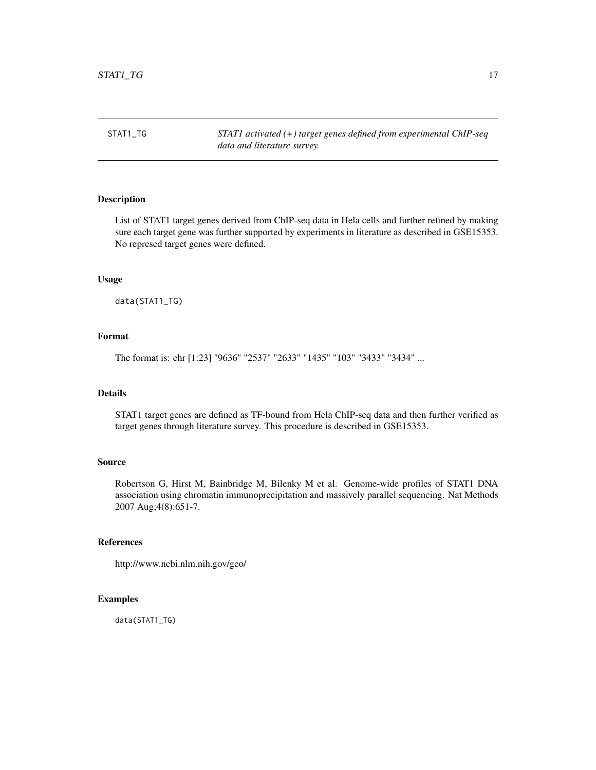<span id="page-16-0"></span>STAT1\_TG *STAT1 activated (+) target genes defined from experimental ChIP-seq data and literature survey.*

# Description

List of STAT1 target genes derived from ChIP-seq data in Hela cells and further refined by making sure each target gene was further supported by experiments in literature as described in GSE15353. No represed target genes were defined.

#### Usage

data(STAT1\_TG)

# Format

The format is: chr [1:23] "9636" "2537" "2633" "1435" "103" "3433" "3434" ...

# Details

STAT1 target genes are defined as TF-bound from Hela ChIP-seq data and then further verified as target genes through literature survey. This procedure is described in GSE15353.

#### Source

Robertson G, Hirst M, Bainbridge M, Bilenky M et al. Genome-wide profiles of STAT1 DNA association using chromatin immunoprecipitation and massively parallel sequencing. Nat Methods 2007 Aug;4(8):651-7.

# References

http://www.ncbi.nlm.nih.gov/geo/

# Examples

data(STAT1\_TG)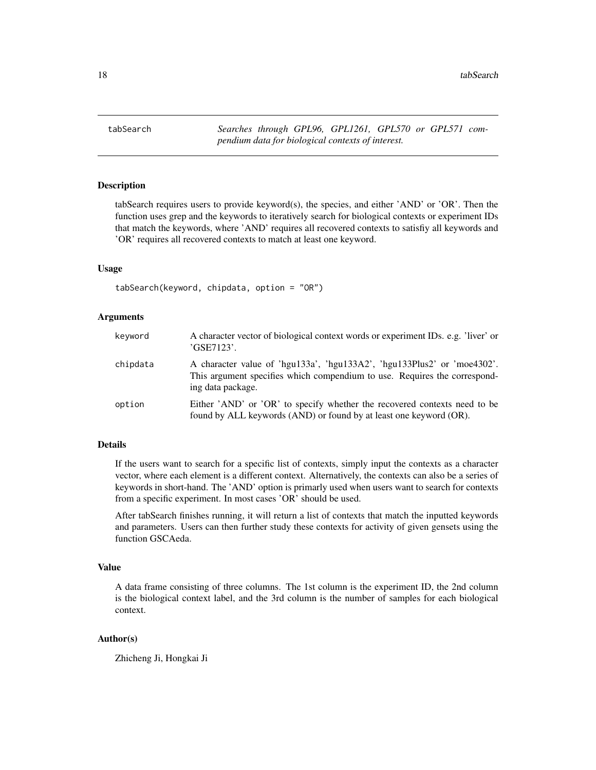<span id="page-17-0"></span>tabSearch *Searches through GPL96, GPL1261, GPL570 or GPL571 compendium data for biological contexts of interest.*

### Description

tabSearch requires users to provide keyword(s), the species, and either 'AND' or 'OR'. Then the function uses grep and the keywords to iteratively search for biological contexts or experiment IDs that match the keywords, where 'AND' requires all recovered contexts to satisfiy all keywords and 'OR' requires all recovered contexts to match at least one keyword.

#### Usage

tabSearch(keyword, chipdata, option = "OR")

#### Arguments

| keyword  | A character vector of biological context words or experiment IDs. e.g. 'liver' or<br>'GSE7123'.                                                                           |
|----------|---------------------------------------------------------------------------------------------------------------------------------------------------------------------------|
| chipdata | A character value of 'hgu133a', 'hgu133A2', 'hgu133Plus2' or 'moe4302'.<br>This argument specifies which compendium to use. Requires the correspond-<br>ing data package. |
| option   | Either 'AND' or 'OR' to specify whether the recovered contexts need to be<br>found by ALL keywords (AND) or found by at least one keyword (OR).                           |

# Details

If the users want to search for a specific list of contexts, simply input the contexts as a character vector, where each element is a different context. Alternatively, the contexts can also be a series of keywords in short-hand. The 'AND' option is primarly used when users want to search for contexts from a specific experiment. In most cases 'OR' should be used.

After tabSearch finishes running, it will return a list of contexts that match the inputted keywords and parameters. Users can then further study these contexts for activity of given gensets using the function GSCAeda.

# Value

A data frame consisting of three columns. The 1st column is the experiment ID, the 2nd column is the biological context label, and the 3rd column is the number of samples for each biological context.

# Author(s)

Zhicheng Ji, Hongkai Ji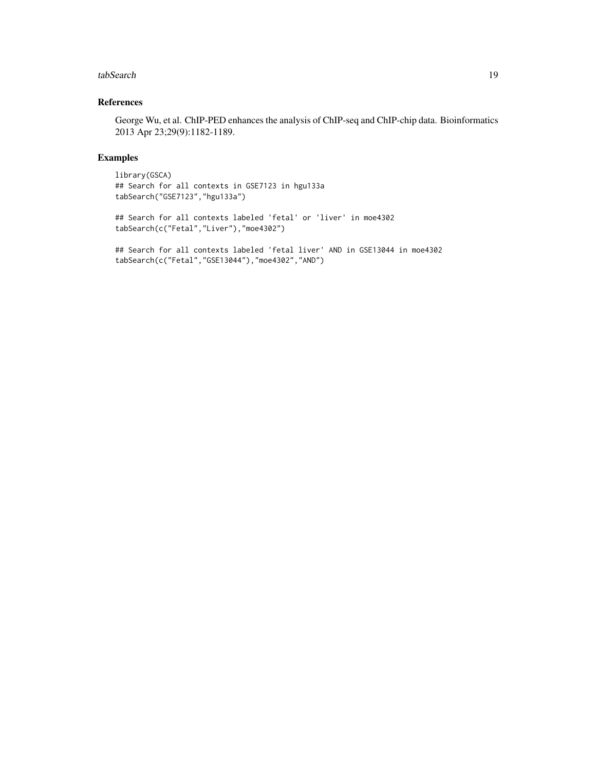#### tabSearch 19

# References

George Wu, et al. ChIP-PED enhances the analysis of ChIP-seq and ChIP-chip data. Bioinformatics 2013 Apr 23;29(9):1182-1189.

# Examples

library(GSCA) ## Search for all contexts in GSE7123 in hgu133a tabSearch("GSE7123","hgu133a")

## Search for all contexts labeled 'fetal' or 'liver' in moe4302 tabSearch(c("Fetal","Liver"),"moe4302")

## Search for all contexts labeled 'fetal liver' AND in GSE13044 in moe4302 tabSearch(c("Fetal","GSE13044"),"moe4302","AND")